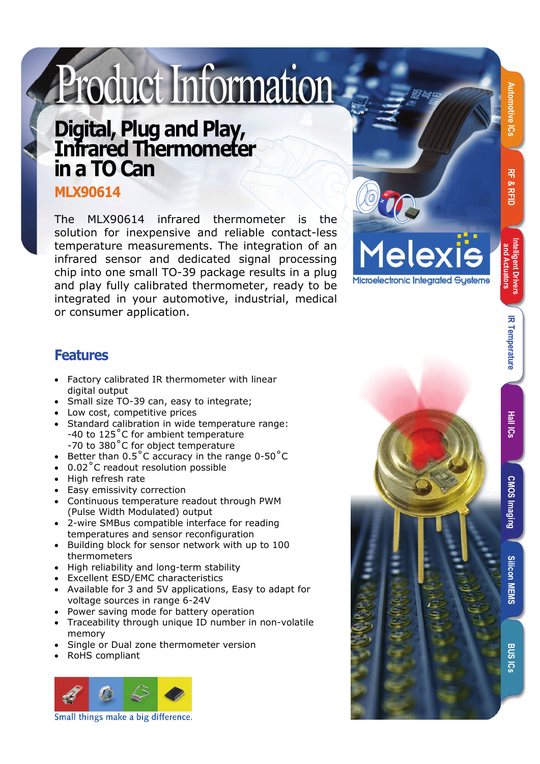# Product Information

# **Digital, Plug and Play, Infrared Thermometer in a TO Can**

**MLX90614** 

The MLX90614 infrared thermometer is the solution for inexpensive and reliable contact-less temperature measurements. The integration of an infrared sensor and dedicated signal processing chip into one small TO-39 package results in a plug and play fully calibrated thermometer, ready to be integrated in your automotive, industrial, medical or consumer application.



#### **Features**

- Factory calibrated IR thermometer with linear digital output
- Small size TO-39 can, easy to integrate;
- Low cost, competitive prices
- Standard calibration in wide temperature range: -40 to 125°C for ambient temperature -70 to 380 ˚C for object temperature
- Better than  $0.5^{\circ}$ C accuracy in the range  $0.50^{\circ}$ C
- 0.02°C readout resolution possible
- High refresh rate
- Easy emissivity correction
- Continuous temperature readout through PWM (Pulse Width Modulated) output
- 2-wire SMBus compatible interface for reading temperatures and sensor reconfiguration
- Building block for sensor network with up to 100 thermometers
- High reliability and long-term stability
- Excellent ESD/EMC characteristics
- Available for 3 and 5V applications, Easy to adapt for voltage sources in range 6-24V
- Power saving mode for battery operation
- Traceability through unique ID number in non-volatile memory
- Single or Dual zone thermometer version
- RoHS compliant





**Automotive ICs RF & RFID** 

**RF & RFIL** 

**Intelligent Drivers and Actuators** 

**IR Temperature** 

**MEMS** 

**BUS** ៊ូ